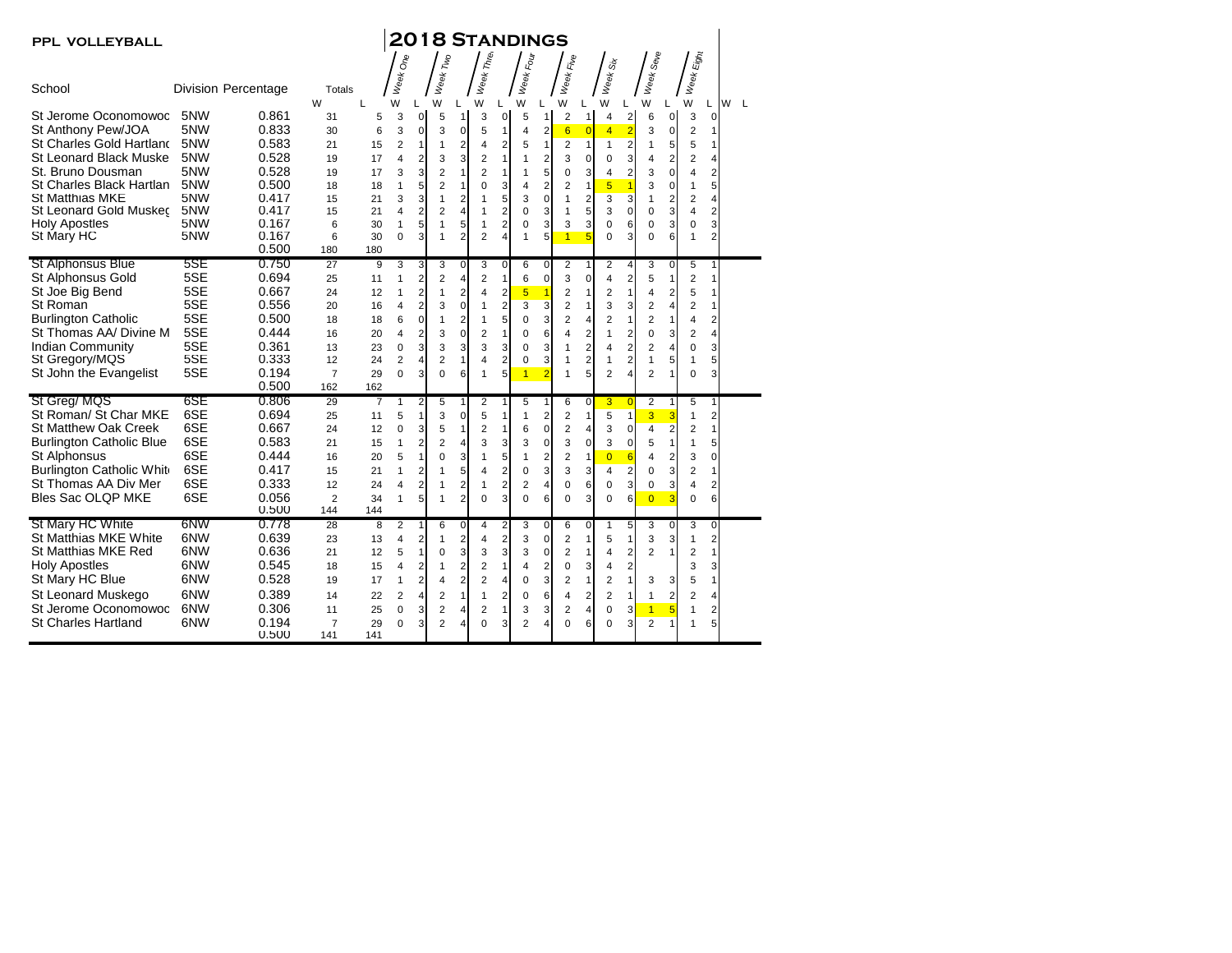| PPL VOLLEYBALL                                        |            |                            |                       |           |                     |                         |                                  |                         | <b>2018 STANDINGS</b>         |                                         |                     |                            |                               |                                |                             |                         |                                  |                     |                 |                               |                   |  |
|-------------------------------------------------------|------------|----------------------------|-----------------------|-----------|---------------------|-------------------------|----------------------------------|-------------------------|-------------------------------|-----------------------------------------|---------------------|----------------------------|-------------------------------|--------------------------------|-----------------------------|-------------------------|----------------------------------|---------------------|-----------------|-------------------------------|-------------------|--|
|                                                       |            |                            |                       |           | $\delta$            |                         |                                  |                         |                               |                                         |                     |                            | Eile                          |                                |                             |                         |                                  |                     |                 |                               |                   |  |
| School                                                |            | <b>Division Percentage</b> | Totals<br>W           | L         | Week<br>W           | L                       | Week Two<br>W                    | L                       | Week Three<br>W               |                                         | Week Four<br>W      | L                          | Week<br>W                     | L                              | Week Six<br>W               | L                       | Week Se <sub>Ve</sub><br>W       | L                   | Week Eight<br>W | L                             | W<br>$\mathsf{L}$ |  |
| St Jerome Oconomowoc                                  | 5NW<br>5NW | 0.861                      | 31                    | 5         | 3                   | 0                       | 5                                | $\mathbf{1}$            | 3                             | $\mathbf 0$                             | 5                   | 1                          | $\overline{c}$                | $\mathbf{1}$                   | 4                           | 2                       | 6                                | 0                   | 3               | 0                             |                   |  |
| St Anthony Pew/JOA<br><b>St Charles Gold Hartland</b> | 5NW        | 0.833<br>0.583             | 30                    | 6         | 3<br>$\overline{2}$ | 0<br>1                  | 3<br>1                           | $\pmb{0}$               | 5<br>4                        | $\mathbf{1}$<br>$\overline{2}$          | 4                   | $\overline{2}$<br>1        | 6                             | $\overline{0}$<br>$\mathbf{1}$ | $\overline{4}$              | $\overline{2}$          | 3<br>$\mathbf{1}$                | 0                   | 2<br>5          | 1<br>1                        |                   |  |
| <b>St Leonard Black Muske</b>                         | 5NW        | 0.528                      | 21                    | 15<br>17  | $\overline{4}$      | $\overline{2}$          |                                  | $\overline{2}$<br>3     | $\overline{2}$                | $\mathbf{1}$                            | 5<br>1              | $\overline{2}$             | $\overline{2}$<br>3           | $\mathbf 0$                    | $\mathbf{1}$<br>$\mathbf 0$ | $\overline{c}$<br>3     | 4                                | 5<br>$\overline{2}$ | $\overline{2}$  | 4                             |                   |  |
| St. Bruno Dousman                                     | 5NW        | 0.528                      | 19<br>19              | 17        | 3                   | 3                       | 3<br>2                           | 1                       | $\overline{2}$                | 1                                       | 1                   | 5                          | $\mathbf 0$                   | 3                              | 4                           | $\overline{c}$          | 3                                | $\mathbf 0$         | 4               | $\overline{2}$                |                   |  |
| St Charles Black Hartlan                              | 5NW        | 0.500                      | 18                    | 18        | 1                   | 5                       | $\overline{2}$                   | $\mathbf{1}$            | $\Omega$                      | 3                                       | 4                   | $\overline{2}$             | $\overline{2}$                | $\mathbf{1}$                   | 5                           | 1                       | 3                                | $\mathbf 0$         | 1               | 5                             |                   |  |
| <b>St Matthias MKE</b>                                | 5NW        | 0.417                      | 15                    | 21        | 3                   | 3                       | 1                                | $\overline{2}$          | $\mathbf{1}$                  | 5                                       | 3                   | $\mathbf 0$                | $\mathbf{1}$                  | $\overline{c}$                 | $\overline{3}$              | $\overline{\mathbf{3}}$ | $\mathbf{1}$                     | $\mathbf 2$         | $\overline{2}$  | 4                             |                   |  |
| St Leonard Gold Muskec                                | 5NW        | 0.417                      | 15                    | 21        | 4                   | $\overline{2}$          | $\overline{2}$                   | 4                       | $\mathbf{1}$                  | $\overline{2}$                          | $\Omega$            | 3                          | 1                             | 5                              | 3                           | $\mathbf 0$             | $\mathbf 0$                      | 3                   | 4               | $\overline{\mathbf{c}}$       |                   |  |
| <b>Holy Apostles</b>                                  | 5NW        | 0.167                      | 6                     | 30        | $\mathbf{1}$        | 5                       | $\mathbf{1}$                     | 5                       | $\mathbf{1}$                  | $\overline{2}$                          | $\Omega$            | 3                          | 3                             | 3                              | $\mathbf 0$                 | 6                       | $\mathbf 0$                      | 3                   | $\mathbf 0$     | 3                             |                   |  |
| St Mary HC                                            | 5NW        | 0.167                      | 6                     | 30        | $\mathbf 0$         | 3                       | 1                                | $\overline{2}$          | $\overline{2}$                | 4                                       | $\mathbf{1}$        | 5                          | $\overline{1}$                | 5                              | $\Omega$                    | 3                       | $\mathbf 0$                      | 6                   | 1               | $\overline{2}$                |                   |  |
|                                                       |            | 0.500                      | 180                   | 180       |                     |                         |                                  |                         |                               |                                         |                     |                            |                               |                                |                             |                         |                                  |                     |                 |                               |                   |  |
| <b>St Alphonsus Blue</b>                              | 5SE        | 0.750                      | 27                    | 9         | 3                   | 3                       | 3                                | 0                       | 3                             | 0                                       | 6                   | $\mathbf 0$                | 2                             |                                | 2                           | 4                       | 3                                | 0                   | 5               | 1                             |                   |  |
| St Alphonsus Gold                                     | 5SE        | 0.694                      | 25                    | 11        | $\mathbf{1}$        | $\overline{2}$          | 2                                | 4                       | $\overline{2}$                | $\mathbf{1}$                            | 6                   | $\Omega$                   | 3                             | $\mathbf 0$                    | 4                           | $\overline{\mathbf{c}}$ | 5                                | $\overline{1}$      | 2               | 1                             |                   |  |
| St Joe Big Bend                                       | 5SE        | 0.667                      | 24                    | 12        | 1                   | $\overline{\mathbf{c}}$ | 1                                | $\overline{\mathbf{c}}$ | 4                             | $\mathbf 2$                             | $\overline{5}$      | 1                          | $\overline{\mathbf{c}}$       | 1                              | $\overline{2}$              | 1                       | 4                                | 2                   | 5               | 1                             |                   |  |
| St Roman                                              | 5SE        | 0.556                      | 20                    | 16        | $\overline{4}$      | $\overline{2}$          | 3                                | $\mathbf 0$             | $\mathbf{1}$                  | $\overline{2}$                          | 3                   | 3                          | $\overline{2}$                | $\mathbf{1}$                   | 3                           | 3                       | $\overline{2}$                   | $\overline{4}$      | 2               | $\mathbf{1}$                  |                   |  |
| <b>Burlington Catholic</b>                            | 5SE        | 0.500                      | 18                    | 18        | 6                   | $\mathbf 0$             | 1                                | $\overline{2}$          | $\mathbf{1}$                  | 5                                       | 0                   | 3                          | $\overline{2}$                | $\overline{4}$                 | $\overline{2}$              | $\mathbf{1}$            | $\overline{2}$                   | $\mathbf{1}$        | 4               | $\overline{2}$                |                   |  |
| St Thomas AA/ Divine M                                | 5SE        | 0.444                      | 16                    | 20        | $\overline{4}$      | $\overline{c}$          | 3                                | $\mathbf 0$             | $\overline{2}$                | 1                                       | $\Omega$            | 6                          | 4                             | $\overline{c}$                 | 1                           | $\overline{\mathbf{c}}$ | 0                                | 3                   | $\overline{2}$  | 4                             |                   |  |
| <b>Indian Community</b>                               | 5SE        | 0.361                      | 13                    | 23        | 0                   | 3                       | 3                                | 3                       | 3                             | 3                                       | 0                   | 3                          | 1                             | $\overline{2}$                 | 4                           | $\overline{2}$          | $\overline{2}$                   | 4                   | $\mathbf 0$     | 3                             |                   |  |
| St Gregory/MQS                                        | 5SE        | 0.333                      | 12                    | 24        | 2                   | 4                       | 2                                | 1                       | 4                             | $\overline{2}$                          | 0                   | 3                          | 1                             | $\overline{c}$                 | 1                           | 2                       | 1                                | 5                   | 1               | 5                             |                   |  |
| St John the Evangelist                                | 5SE        | 0.194                      | $\overline{7}$        | 29        | $\Omega$            | 3                       | $\Omega$                         | 6                       | $\mathbf{1}$                  | 5                                       | $\overline{1}$      | 2                          | 1                             | 5                              | $\overline{2}$              | 4                       | $\overline{2}$                   |                     | $\Omega$        | 3                             |                   |  |
|                                                       |            | 0.500                      | 162                   | 162       |                     |                         |                                  |                         |                               |                                         |                     |                            |                               |                                |                             |                         |                                  |                     |                 |                               |                   |  |
| St Greg/MQS                                           | 6SE        | 0.806                      | 29                    | 7         | 1                   | 2                       | 5                                | 1                       | 2                             |                                         | 5                   | 1                          | 6                             | 0                              | 3                           | $\overline{0}$          | 2                                | $\mathbf{1}$        | 5               | 1                             |                   |  |
| St Roman/ St Char MKE                                 | 6SE        | 0.694                      | 25                    | 11        | 5                   | 1                       | 3                                | $\mathbf 0$             | 5                             | 1                                       | 1                   | $\overline{\mathbf{c}}$    | $\overline{2}$                | $\mathbf{1}$                   | 5                           | $\mathbf{1}$            | 3                                | 3                   | 1               | $\overline{c}$                |                   |  |
| <b>St Matthew Oak Creek</b>                           | 6SE        | 0.667                      | 24                    | 12        | $\mathbf 0$         | 3                       | 5                                | $\mathbf{1}$            | $\overline{2}$                | $\mathbf{1}$                            | 6                   | $\mathbf 0$                | $\overline{2}$                | $\overline{4}$                 | 3                           | $\mathbf 0$             | 4                                | $\overline{2}$      | $\overline{2}$  | $\mathbf{1}$                  |                   |  |
| <b>Burlington Catholic Blue</b>                       | 6SE        | 0.583                      | 21                    | 15        | $\mathbf{1}$        | $\overline{2}$          | 2                                | 4                       | 3                             | 3                                       | 3                   | $\mathbf 0$                | 3                             | $\mathbf 0$                    | 3                           | 0                       | 5                                | $\overline{1}$      | 1               | 5                             |                   |  |
| St Alphonsus                                          | 6SE        | 0.444                      | 16                    | 20        | 5                   | 1                       | 0                                | 3                       | $\mathbf{1}$                  | 5                                       | $\mathbf{1}$        | $\overline{2}$             | $\overline{2}$                | $\mathbf{1}$                   | $\overline{0}$              | $6\overline{6}$         | 4                                | $\overline{2}$      | 3               | $\overline{0}$                |                   |  |
| Burlington Catholic White                             | 6SE        | 0.417                      | 15                    | 21        | 1                   | $\overline{2}$          | 1                                | 5                       | 4                             | $\overline{2}$                          | 0                   | 3                          | 3                             | 3                              | $\overline{4}$              | $\overline{2}$          | $\mathbf 0$                      | 3                   | $\overline{2}$  | $\mathbf{1}$                  |                   |  |
| St Thomas AA Div Mer                                  | 6SE        | 0.333                      | 12                    | 24        | 4                   | $\overline{\mathbf{c}}$ | 1                                | 2                       | 1                             | $\overline{\mathbf{c}}$                 | 2                   | 4                          | $\mathbf 0$                   | 6                              | $\mathbf 0$                 | 3                       | 0                                | 3                   | 4               | 2                             |                   |  |
| Bles Sac OLQP MKE                                     | 6SE        | 0.056<br>0.500             | $\overline{2}$<br>144 | 34<br>144 | 1                   | 5                       | 1                                | $\overline{2}$          | $\mathbf 0$                   | 3                                       | 0                   | 6                          | $\mathbf 0$                   | 3                              | 0                           | 6                       | $\overline{0}$                   | 3                   | 0               | 6                             |                   |  |
| St Mary HC White                                      | 6NW        | 0.778                      | 28                    | 8         |                     | 1                       |                                  |                         |                               |                                         |                     |                            |                               |                                |                             |                         |                                  |                     |                 |                               |                   |  |
| St Matthias MKE White                                 | 6NW        | 0.639                      | 23                    | 13        | 2<br>$\overline{4}$ | $\overline{c}$          | 6<br>1                           | 0<br>2                  | 4<br>4                        | 2<br>$\overline{\mathbf{c}}$            | 3<br>3              | $\mathbf 0$<br>$\mathbf 0$ | 6<br>$\overline{2}$           | $\mathbf 0$<br>1               | 5                           | 5<br>1                  | 3<br>3                           | 0<br>3              | 3<br>1          | $\mathbf 0$<br>$\overline{2}$ |                   |  |
| St Matthias MKE Red                                   | 6NW        | 0.636                      | 21                    | 12        | 5                   | 1                       | 0                                | 3                       | 3                             | 3                                       | 3                   | $\mathbf 0$                | $\overline{2}$                | $\mathbf{1}$                   | $\overline{4}$              | $\overline{2}$          | $\overline{2}$                   | 1                   | 2               | 1                             |                   |  |
| <b>Holy Apostles</b>                                  | 6NW        | 0.545                      | 18                    | 15        | $\overline{4}$      | $\overline{2}$          | 1                                | 2                       | $\overline{2}$                | $\mathbf{1}$                            | 4                   | $\overline{2}$             | $\mathbf 0$                   | 3                              | 4                           | $\overline{\mathbf{c}}$ |                                  |                     | 3               | 3                             |                   |  |
| St Mary HC Blue                                       | 6NW        | 0.528                      | 19                    | 17        | 1                   | $\overline{2}$          | 4                                | $\overline{2}$          | $\overline{2}$                | 4                                       | $\mathbf 0$         | 3                          | $\overline{2}$                | $\mathbf{1}$                   | $\overline{2}$              | 1                       | 3                                | 3                   | 5               | 1                             |                   |  |
|                                                       | 6NW        | 0.389                      |                       |           |                     |                         |                                  | $\mathbf{1}$            |                               |                                         |                     |                            |                               |                                |                             |                         |                                  |                     |                 |                               |                   |  |
| St Leonard Muskego<br>St Jerome Oconomowoc            | 6NW        | 0.306                      | 14                    | 22        | $\overline{2}$      | $\overline{4}$          | 2                                |                         | $\mathbf{1}$                  | $\overline{\mathbf{c}}$<br>$\mathbf{1}$ | 0                   | 6                          | 4                             | $\overline{\mathbf{c}}$        | 2                           | $\mathbf{1}$            | $\mathbf{1}$                     | 2                   | $\overline{2}$  | 4                             |                   |  |
| St Charles Hartland                                   | 6NW        | 0.194                      | 11<br>$\overline{7}$  | 25<br>29  | 0<br>$\Omega$       | 3<br>3                  | $\overline{2}$<br>$\overline{2}$ | 4<br>4                  | $\overline{2}$<br>$\mathbf 0$ | 3                                       | 3<br>$\overline{2}$ | 3<br>4                     | $\overline{2}$<br>$\mathbf 0$ | $\overline{4}$<br>6            | $\mathbf 0$<br>0            | 3<br>3                  | $\overline{1}$<br>$\overline{2}$ | 5<br>1              | 1<br>1          | 2<br>5                        |                   |  |
|                                                       |            | 0.500                      | 141                   | 141       |                     |                         |                                  |                         |                               |                                         |                     |                            |                               |                                |                             |                         |                                  |                     |                 |                               |                   |  |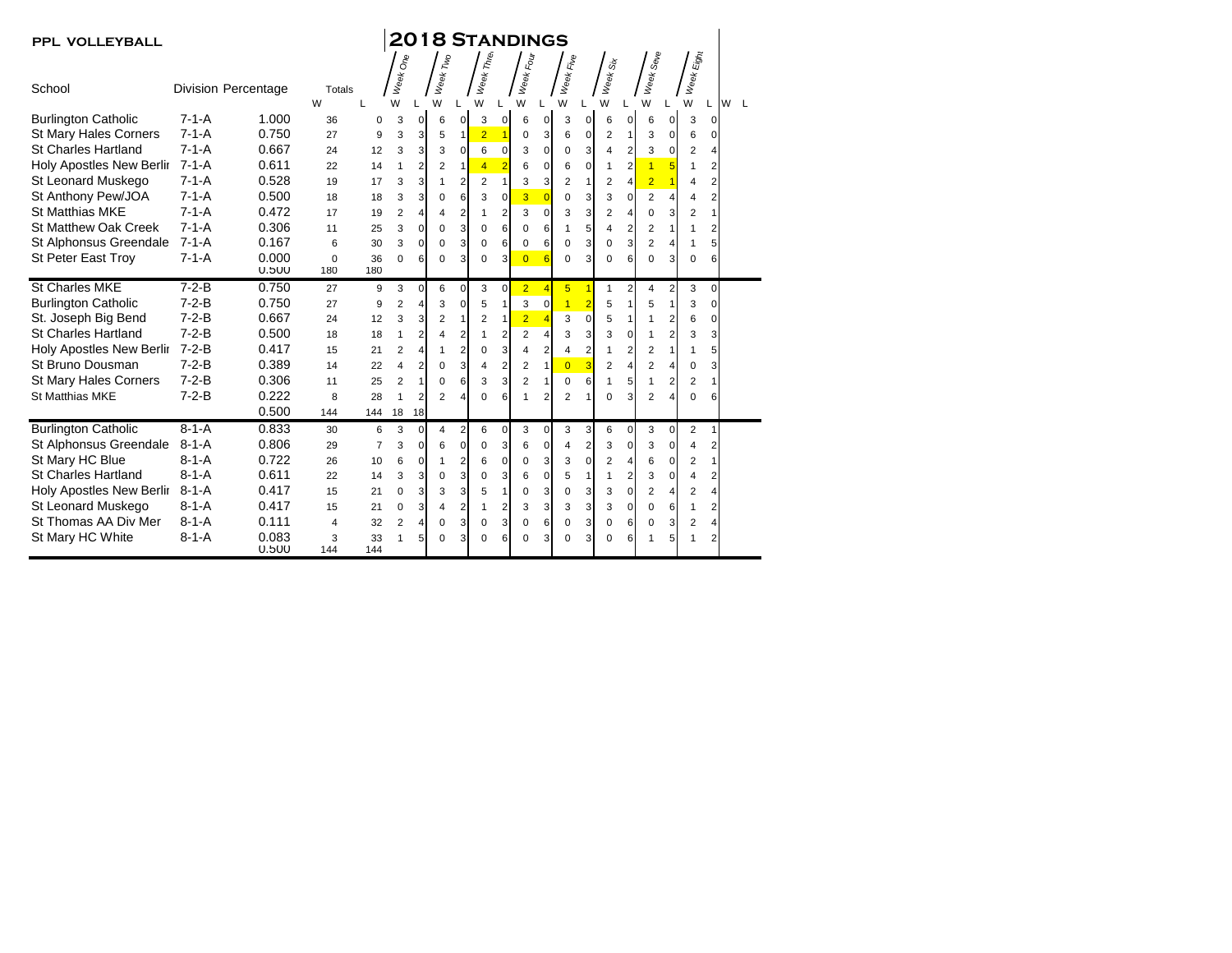| <b>PPL VOLLEYBALL</b>          | <b>2018 STANDINGS</b> |                     |                         |                |                |                |                |                |                |                |                |                |                |                         |                |                |                       |                |                                                                                     |                |        |  |
|--------------------------------|-----------------------|---------------------|-------------------------|----------------|----------------|----------------|----------------|----------------|----------------|----------------|----------------|----------------|----------------|-------------------------|----------------|----------------|-----------------------|----------------|-------------------------------------------------------------------------------------|----------------|--------|--|
|                                |                       |                     |                         |                | Week One       |                | Week Two       |                | Week Three     |                | Week Four      |                | Week Five      |                         | Week Six       |                | Week Se <sub>Ve</sub> |                | $\tilde{\varepsilon}_{\!\!j\!g\!f\!{\scriptscriptstyle M}}$<br>$W_{\Theta\theta k}$ |                |        |  |
| School                         |                       | Division Percentage | Totals<br>W             | L              | W              |                | W              |                | W              |                | W              | W              |                |                         | W              |                | W                     |                | W                                                                                   |                | W<br>L |  |
| <b>Burlington Catholic</b>     | $7 - 1 - A$           | 1.000               | 36                      | 0              | 3              | $\mathbf{0}$   | 6              | 0              | 3              | $\mathbf{0}$   | 6              | 0              | 3              | 0                       | 6              | $\mathbf 0$    | 6                     | $\mathbf 0$    | 3                                                                                   | 0              |        |  |
| <b>St Mary Hales Corners</b>   | $7 - 1 - A$           | 0.750               | 27                      | 9              | 3              | 3              | 5              | 1              | $\overline{2}$ |                | 0              | 3              | 6              | $\mathbf 0$             | $\overline{2}$ | $\mathbf{1}$   | 3                     | 0              | 6                                                                                   | $\Omega$       |        |  |
| <b>St Charles Hartland</b>     | $7 - 1 - A$           | 0.667               | 24                      | 12             | 3              | 3              | 3              | $\Omega$       | 6              | 0              | 3              | 0              | $\mathbf 0$    | 3                       | 4              | 2              | 3                     | $\pmb{0}$      | 2                                                                                   | $\overline{4}$ |        |  |
| Holy Apostles New Berlir 7-1-A |                       | 0.611               | 22                      | 14             | 1              | 2              | 2              | $\mathbf{1}$   | $\overline{4}$ | $\overline{2}$ | 6              | 0              | 6              | 0                       | $\mathbf{1}$   | 2              | $\overline{1}$        | 5              | $\mathbf{1}$                                                                        | 2              |        |  |
| St Leonard Muskego             | $7 - 1 - A$           | 0.528               | 19                      | 17             | 3              | 3              | 1              | $\overline{2}$ | 2              | $\mathbf{1}$   | 3              | 3              | $\overline{2}$ | $\mathbf{1}$            | 2              | 4              | $\overline{2}$        | $\overline{1}$ | 4                                                                                   | $\overline{2}$ |        |  |
| St Anthony Pew/JOA             | $7 - 1 - A$           | 0.500               | 18                      | 18             | 3              | 3              | 0              | 6              | 3              | $\mathbf 0$    | $\overline{3}$ | $\overline{0}$ | $\mathbf 0$    | 3                       | 3              | $\mathbf 0$    | $\overline{2}$        | $\overline{4}$ | $\overline{4}$                                                                      | $\overline{2}$ |        |  |
| <b>St Matthias MKE</b>         | $7 - 1 - A$           | 0.472               | 17                      | 19             | 2              | 4              | 4              | 2              | 1              | $\overline{2}$ | 3              | $\Omega$       | 3              | 3                       | $\overline{2}$ | 4              | 0                     | 3              | 2                                                                                   |                |        |  |
| <b>St Matthew Oak Creek</b>    | $7 - 1 - A$           | 0.306               | 11                      | 25             | 3              | $\Omega$       | $\Omega$       | 3              | $\mathbf 0$    | 6              | $\Omega$       | 6              | 1              | 5                       | 4              | 2              | $\overline{2}$        | $\mathbf{1}$   | 1                                                                                   | 2              |        |  |
| St Alphonsus Greendale         | $7 - 1 - A$           | 0.167               | 6                       | 30             | 3              | 0              | $\Omega$       | 3              | 0              | 6              | 0              | 6              | $\mathbf 0$    | 3                       | 0              | 3              | $\overline{2}$        | 4              | 1                                                                                   | 5              |        |  |
| <b>St Peter East Troy</b>      | $7 - 1 - A$           | 0.000               | $\mathbf 0$             | 36             | 0              | 6              | $\Omega$       | 3              | 0              | 3              | $\overline{0}$ | $\overline{6}$ | $\mathbf 0$    | 3                       | $\Omega$       | 6              | $\Omega$              | 3              | 0                                                                                   | 6              |        |  |
|                                |                       | 0.500               | 180                     | 180            |                |                |                |                |                |                |                |                |                |                         |                |                |                       |                |                                                                                     |                |        |  |
| <b>St Charles MKE</b>          | $7-2-B$               | 0.750               | 27                      | 9              | 3              | $\Omega$       | 6              | $\mathbf 0$    | 3              | $\mathbf 0$    | $\overline{2}$ | $\overline{4}$ | $5\phantom{1}$ | $\overline{1}$          | 1              | 2              | $\overline{4}$        | $\overline{a}$ | 3                                                                                   | $\Omega$       |        |  |
| <b>Burlington Catholic</b>     | $7 - 2 - B$           | 0.750               | 27                      | 9              | $\overline{2}$ | $\overline{4}$ | 3              | $\mathbf 0$    | 5              | $\mathbf{1}$   | 3              | $\mathbf 0$    | $\overline{1}$ | $\overline{2}$          | 5              | $\mathbf{1}$   | 5                     | $\mathbf{1}$   | 3                                                                                   | 0              |        |  |
| St. Joseph Big Bend            | $7 - 2 - B$           | 0.667               | 24                      | 12             | 3              | 3              | $\overline{2}$ | 1              | $\overline{2}$ | $\mathbf{1}$   | $\overline{2}$ | $\overline{4}$ | 3              | $\mathbf 0$             | 5              | $\mathbf{1}$   | 1                     | $\overline{2}$ | 6                                                                                   | 0              |        |  |
| <b>St Charles Hartland</b>     | $7 - 2 - B$           | 0.500               | 18                      | 18             | $\mathbf{1}$   | $\overline{2}$ | 4              | 2              | 1              | $\overline{2}$ | $\overline{2}$ | 4              | 3              | 3                       | 3              | 0              | 1                     | $\overline{2}$ | 3                                                                                   | 3              |        |  |
| Holy Apostles New Berlir       | $7-2-B$               | 0.417               | 15                      | 21             | $\overline{2}$ | 4              |                | 2              | 0              | 3              | 4              | $\overline{2}$ | 4              | $\overline{c}$          | 1              | 2              | 2                     | $\mathbf{1}$   | 1                                                                                   | 5              |        |  |
| St Bruno Dousman               | $7-2-B$               | 0.389               | 14                      | 22             | $\overline{4}$ | $\overline{2}$ | $\Omega$       | 3              | 4              | $\overline{2}$ | 2              | $\mathbf{1}$   | $\overline{0}$ | 3                       | $\overline{2}$ | $\overline{4}$ | $\overline{2}$        | 4              | 0                                                                                   | 3              |        |  |
| <b>St Mary Hales Corners</b>   | $7 - 2 - B$           | 0.306               | 11                      | 25             | $\overline{2}$ | 1              | 0              | 6              | 3              | 3              | $\overline{2}$ | 1              | $\mathbf 0$    | 6                       | 1              | 5              | $\mathbf{1}$          | $\overline{2}$ | 2                                                                                   | 1              |        |  |
| <b>St Matthias MKE</b>         | $7 - 2 - B$           | 0.222               | 8                       | 28             | $\mathbf{1}$   | $\overline{2}$ | $\overline{2}$ | 4              | 0              | 6              |                | $\overline{2}$ | $\overline{2}$ |                         | $\mathbf 0$    | 3              | $\overline{2}$        | $\overline{4}$ | $\mathbf 0$                                                                         | 6              |        |  |
|                                |                       | 0.500               | 144                     | 144            | 18             | 18             |                |                |                |                |                |                |                |                         |                |                |                       |                |                                                                                     |                |        |  |
| <b>Burlington Catholic</b>     | $8 - 1 - A$           | 0.833               | 30                      | 6              | 3              | $\Omega$       | 4              | 2              | 6              | $\mathbf 0$    | 3              | 0              | 3              | 3                       | 6              | $\mathbf 0$    | 3                     | 0              | 2                                                                                   | 1              |        |  |
| St Alphonsus Greendale         | $8 - 1 - A$           | 0.806               | 29                      | $\overline{7}$ | 3              | $\Omega$       | 6              | 0              | 0              | 3              | 6              | 0              | $\overline{4}$ | $\overline{\mathbf{c}}$ | 3              | $\mathbf 0$    | 3                     | 0              | 4                                                                                   | $\overline{2}$ |        |  |
| St Mary HC Blue                | $8 - 1 - A$           | 0.722               | 26                      | 10             | 6              | 0              | 1              | 2              | 6              | $\overline{0}$ | 0              | 3              | 3              | $\mathbf 0$             | $\overline{2}$ | 4              | 6                     | $\mathbf 0$    | $\overline{2}$                                                                      | $\mathbf{1}$   |        |  |
| <b>St Charles Hartland</b>     | $8 - 1 - A$           | 0.611               | 22                      | 14             | 3              | 3              | $\Omega$       | 3              | 0              | 3              | 6              | $\Omega$       | 5              | $\mathbf{1}$            | $\mathbf{1}$   | 2              | 3                     | $\mathbf 0$    | $\overline{4}$                                                                      | 2              |        |  |
| Holy Apostles New Berlir       | $8 - 1 - A$           | 0.417               | 15                      | 21             | $\Omega$       | 3              | 3              | 3              | 5              | $\mathbf{1}$   | 0              | 3              | $\mathbf 0$    | 3                       | 3              | 0              | $\overline{2}$        | $\overline{4}$ | $\overline{2}$                                                                      | $\overline{4}$ |        |  |
| St Leonard Muskego             | $8 - 1 - A$           | 0.417               | 15                      | 21             | $\mathbf 0$    | 3              | 4              | 2              |                | $\overline{2}$ | 3              | 3              | 3              | 3                       | 3              | 0              | 0                     | 6              | 1                                                                                   | $\overline{2}$ |        |  |
| St Thomas AA Div Mer           | $8 - 1 - A$           | 0.111               | $\overline{\mathbf{4}}$ | 32             | $\overline{2}$ | 4              | $\Omega$       | 3              | 0              | 3              | $\mathbf 0$    | 6              | $\mathbf 0$    | 3                       | $\mathbf 0$    | 6              | 0                     | 3              | $\overline{2}$                                                                      | 4              |        |  |
| St Mary HC White               | $8 - 1 - A$           | 0.083<br>0.500      | 3<br>144                | 33<br>144      | 1              | 5              | $\Omega$       | 3              | $\Omega$       | 6              | 0              | 3              | $\mathbf 0$    | 3                       | 0              | 6              | 1                     | 5              | 1                                                                                   | 2              |        |  |